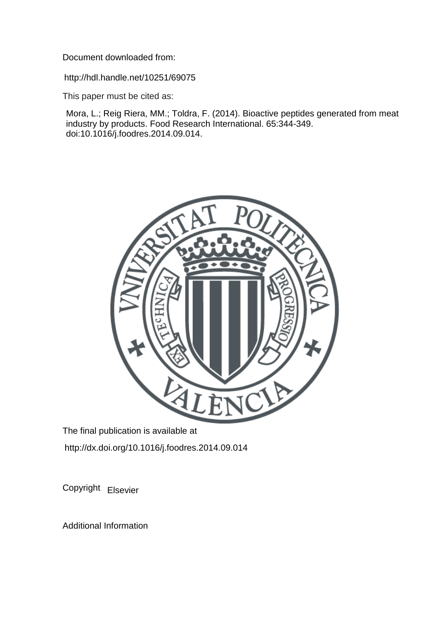Document downloaded from:

http://hdl.handle.net/10251/69075

This paper must be cited as:

Mora, L.; Reig Riera, MM.; Toldra, F. (2014). Bioactive peptides generated from meat industry by products. Food Research International. 65:344-349. doi:10.1016/j.foodres.2014.09.014.



The final publication is available at http://dx.doi.org/10.1016/j.foodres.2014.09.014

Copyright Elsevier

Additional Information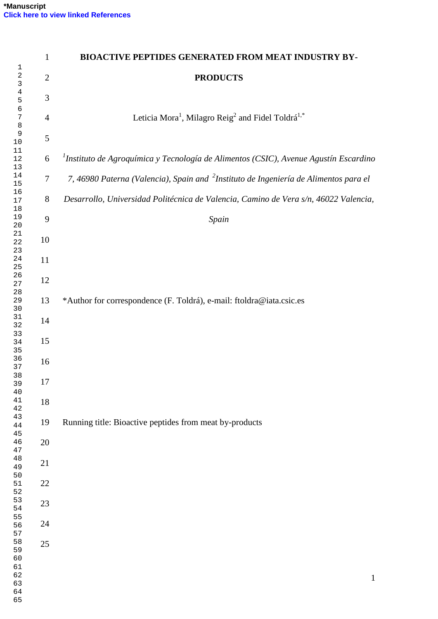|                    | 1              | <b>BIOACTIVE PEPTIDES GENERATED FROM MEAT INDUSTRY BY-</b>                                       |
|--------------------|----------------|--------------------------------------------------------------------------------------------------|
| 1<br>2<br>3        | $\overline{2}$ | <b>PRODUCTS</b>                                                                                  |
| 4<br>5             | 3              |                                                                                                  |
| 6<br>7<br>$\,8\,$  | 4              | Leticia Mora <sup>1</sup> , Milagro Reig <sup>2</sup> and Fidel Toldrá <sup>1,*</sup>            |
| $\mathsf 9$<br>10  | 5              |                                                                                                  |
| 11<br>12<br>13     | 6              | $1$ Instituto de Agroquímica y Tecnología de Alimentos (CSIC), Avenue Agustín Escardino          |
| 14<br>15           | $\tau$         | 7, 46980 Paterna (Valencia), Spain and <sup>2</sup> Instituto de Ingeniería de Alimentos para el |
| 16<br>17<br>18     | 8              | Desarrollo, Universidad Politécnica de Valencia, Camino de Vera s/n, 46022 Valencia,             |
| 19<br>20           | 9              | Spain                                                                                            |
| 21<br>22<br>23     | 10             |                                                                                                  |
| 24<br>25           | 11             |                                                                                                  |
| 26<br>27<br>28     | 12             |                                                                                                  |
| 29<br>30<br>31     | 13             | *Author for correspondence (F. Toldrá), e-mail: ftoldra@iata.csic.es                             |
| 32<br>33           | 14             |                                                                                                  |
| 34<br>35<br>36     | 15             |                                                                                                  |
| 37<br>38           | 16             |                                                                                                  |
| 39<br>40<br>41     | 17             |                                                                                                  |
| 42<br>43           | 18<br>19       | Running title: Bioactive peptides from meat by-products                                          |
| $4\,4$<br>45<br>46 | 20             |                                                                                                  |
| 47<br>48           | 21             |                                                                                                  |
| 49<br>50<br>51     | 22             |                                                                                                  |
| 52<br>53           | 23             |                                                                                                  |
| 54<br>55<br>56     | 24             |                                                                                                  |
| 57<br>58           | 25             |                                                                                                  |
| 59<br>60<br>61     |                |                                                                                                  |
| 62<br>63           |                | $\mathbf{1}$                                                                                     |
| 64                 |                |                                                                                                  |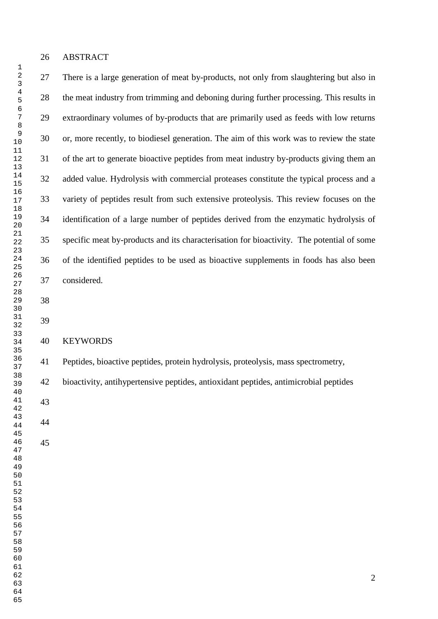#### ABSTRACT

 There is a large generation of meat by-products, not only from slaughtering but also in the meat industry from trimming and deboning during further processing. This results in extraordinary volumes of by-products that are primarily used as feeds with low returns or, more recently, to biodiesel generation. The aim of this work was to review the state of the art to generate bioactive peptides from meat industry by-products giving them an added value. Hydrolysis with commercial proteases constitute the typical process and a variety of peptides result from such extensive proteolysis. This review focuses on the identification of a large number of peptides derived from the enzymatic hydrolysis of specific meat by-products and its characterisation for bioactivity. The potential of some of the identified peptides to be used as bioactive supplements in foods has also been considered.

## KEYWORDS

Peptides, bioactive peptides, protein hydrolysis, proteolysis, mass spectrometry,

bioactivity, antihypertensive peptides, antioxidant peptides, antimicrobial peptides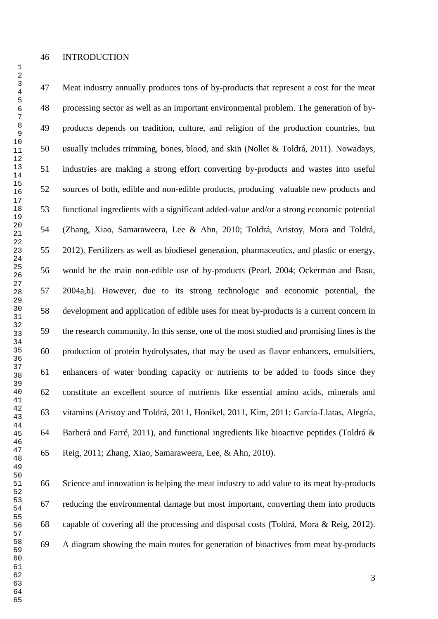Meat industry annually produces tons of by-products that represent a cost for the meat processing sector as well as an important environmental problem. The generation of by- products depends on tradition, culture, and religion of the production countries, but usually includes trimming, bones, blood, and skin (Nollet & Toldrá, 2011). Nowadays, industries are making a strong effort converting by-products and wastes into useful sources of both, edible and non-edible products, producing valuable new products and functional ingredients with a significant added-value and/or a strong economic potential (Zhang, Xiao, Samaraweera, Lee & Ahn, 2010; Toldrá, Aristoy, Mora and Toldrá, 2012). Fertilizers as well as biodiesel generation, pharmaceutics, and plastic or energy, would be the main non-edible use of by-products (Pearl, 2004; Ockerman and Basu, 2004a,b). However, due to its strong technologic and economic potential, the development and application of edible uses for meat by-products is a current concern in the research community. In this sense, one of the most studied and promising lines is the production of protein hydrolysates, that may be used as flavor enhancers, emulsifiers, enhancers of water bonding capacity or nutrients to be added to foods since they constitute an excellent source of nutrients like essential amino acids, minerals and vitamins (Aristoy and Toldrá, 2011, Honikel, 2011, Kim, 2011; García-Llatas, Alegría, Barberá and Farré, 2011), and functional ingredients like bioactive peptides (Toldrá & Reig, 2011; Zhang, Xiao, Samaraweera, Lee, & Ahn, 2010).

 Science and innovation is helping the meat industry to add value to its meat by-products reducing the environmental damage but most important, converting them into products capable of covering all the processing and disposal costs (Toldrá, Mora & Reig, 2012). A diagram showing the main routes for generation of bioactives from meat by-products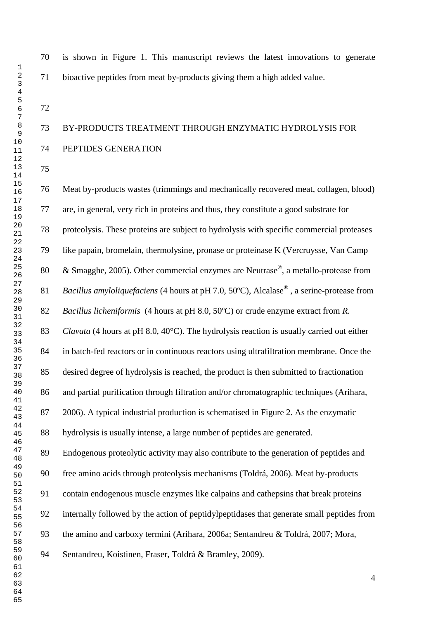is shown in Figure 1. This manuscript reviews the latest innovations to generate bioactive peptides from meat by-products giving them a high added value.

# BY-PRODUCTS TREATMENT THROUGH ENZYMATIC HYDROLYSIS FOR PEPTIDES GENERATION

 Meat by-products wastes (trimmings and mechanically recovered meat, collagen, blood) are, in general, very rich in proteins and thus, they constitute a good substrate for proteolysis. These proteins are subject to hydrolysis with specific commercial proteases like papain, bromelain, thermolysine, pronase or proteinase K (Vercruysse, Van Camp 80 & Smagghe, 2005). Other commercial enzymes are Neutrase<sup>®</sup>, a metallo-protease from 81 Bacillus amyloliquefaciens (4 hours at pH 7.0, 50°C), Alcalase<sup>®</sup>, a serine-protease from *Bacillus licheniformis* (4 hours at pH 8.0, 50ºC) or crude enzyme extract from *R. Clavata* (4 hours at pH 8.0, 40°C). The hydrolysis reaction is usually carried out either in batch-fed reactors or in continuous reactors using ultrafiltration membrane. Once the desired degree of hydrolysis is reached, the product is then submitted to fractionation and partial purification through filtration and/or chromatographic techniques (Arihara, 2006). A typical industrial production is schematised in Figure 2. As the enzymatic hydrolysis is usually intense, a large number of peptides are generated. Endogenous proteolytic activity may also contribute to the generation of peptides and free amino acids through proteolysis mechanisms (Toldrá, 2006). Meat by-products contain endogenous muscle enzymes like calpains and cathepsins that break proteins internally followed by the action of peptidylpeptidases that generate small peptides from the amino and carboxy termini (Arihara, 2006a; Sentandreu & Toldrá, 2007; Mora, Sentandreu, Koistinen, Fraser, Toldrá & Bramley, 2009).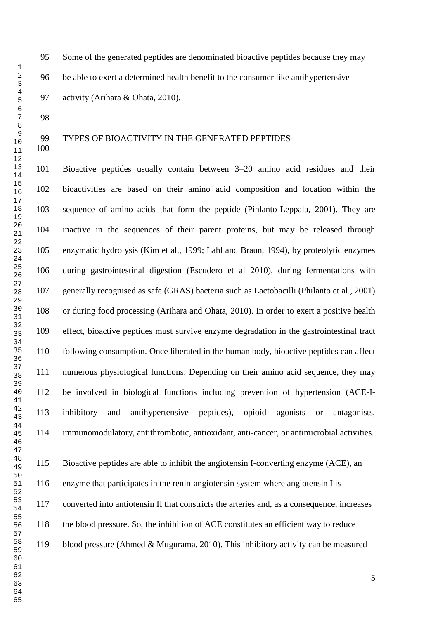Some of the generated peptides are denominated bioactive peptides because they may be able to exert a determined health benefit to the consumer like antihypertensive activity (Arihara & Ohata, 2010).

## TYPES OF BIOACTIVITY IN THE GENERATED PEPTIDES

 Bioactive peptides usually contain between 3–20 amino acid residues and their bioactivities are based on their amino acid composition and location within the sequence of amino acids that form the peptide (Pihlanto-Leppala, 2001). They are inactive in the sequences of their parent proteins, but may be released through enzymatic hydrolysis (Kim et al., 1999; Lahl and Braun, 1994), by proteolytic enzymes during gastrointestinal digestion (Escudero et al 2010), during fermentations with generally recognised as safe (GRAS) bacteria such as Lactobacilli (Philanto et al., 2001) or during food processing (Arihara and Ohata, 2010). In order to exert a positive health effect, bioactive peptides must survive enzyme degradation in the gastrointestinal tract following consumption. Once liberated in the human body, bioactive peptides can affect numerous physiological functions. Depending on their amino acid sequence, they may be involved in biological functions including prevention of hypertension (ACE-I- inhibitory and antihypertensive peptides), opioid agonists or antagonists, immunomodulatory, antithrombotic, antioxidant, anti-cancer, or antimicrobial activities.

 Bioactive peptides are able to inhibit the angiotensin I-converting enzyme (ACE), an enzyme that participates in the renin-angiotensin system where angiotensin I is converted into antiotensin II that constricts the arteries and, as a consequence, increases the blood pressure. So, the inhibition of ACE constitutes an efficient way to reduce blood pressure (Ahmed & Mugurama, 2010). This inhibitory activity can be measured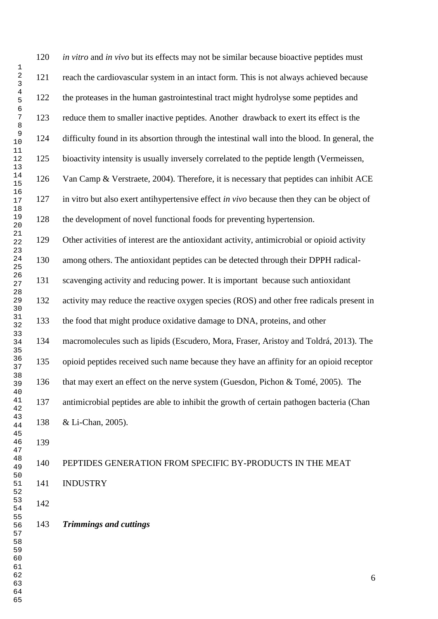*in vitro* and *in vivo* but its effects may not be similar because bioactive peptides must reach the cardiovascular system in an intact form. This is not always achieved because the proteases in the human gastrointestinal tract might hydrolyse some peptides and reduce them to smaller inactive peptides. Another drawback to exert its effect is the difficulty found in its absortion through the intestinal wall into the blood. In general, the bioactivity intensity is usually inversely correlated to the peptide length (Vermeissen, Van Camp & Verstraete, 2004). Therefore, it is necessary that peptides can inhibit ACE in vitro but also exert antihypertensive effect *in vivo* because then they can be object of the development of novel functional foods for preventing hypertension. Other activities of interest are the antioxidant activity, antimicrobial or opioid activity among others. The antioxidant peptides can be detected through their DPPH radical- scavenging activity and reducing power. It is important because such antioxidant activity may reduce the reactive oxygen species (ROS) and other free radicals present in the food that might produce oxidative damage to DNA, proteins, and other macromolecules such as lipids (Escudero, Mora, Fraser, Aristoy and Toldrá, 2013). The opioid peptides received such name because they have an affinity for an opioid receptor that may exert an effect on the nerve system (Guesdon, Pichon & Tomé, 2005). The antimicrobial peptides are able to inhibit the growth of certain pathogen bacteria (Chan & Li-Chan, 2005). PEPTIDES GENERATION FROM SPECIFIC BY-PRODUCTS IN THE MEAT INDUSTRY

### *Trimmings and cuttings*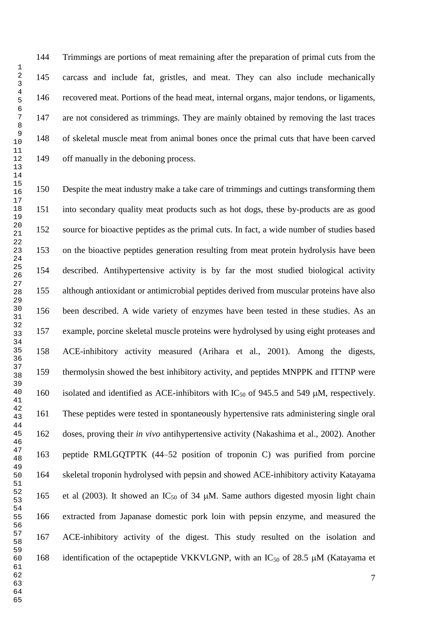Trimmings are portions of meat remaining after the preparation of primal cuts from the carcass and include fat, gristles, and meat. They can also include mechanically recovered meat. Portions of the head meat, internal organs, major tendons, or ligaments, are not considered as trimmings. They are mainly obtained by removing the last traces of skeletal muscle meat from animal bones once the primal cuts that have been carved off manually in the deboning process.

 Despite the meat industry make a take care of trimmings and cuttings transforming them into secondary quality meat products such as hot dogs, these by-products are as good source for bioactive peptides as the primal cuts. In fact, a wide number of studies based on the bioactive peptides generation resulting from meat protein hydrolysis have been described. Antihypertensive activity is by far the most studied biological activity although antioxidant or antimicrobial peptides derived from muscular proteins have also been described. A wide variety of enzymes have been tested in these studies. As an example, porcine skeletal muscle proteins were hydrolysed by using eight proteases and ACE-inhibitory activity measured (Arihara et al., 2001). Among the digests, thermolysin showed the best inhibitory activity, and peptides MNPPK and ITTNP were 160 isolated and identified as ACE-inhibitors with  $IC_{50}$  of 945.5 and 549  $\mu$ M, respectively. These peptides were tested in spontaneously hypertensive rats administering single oral doses, proving their *in vivo* antihypertensive activity (Nakashima et al., 2002). Another peptide RMLGQTPTK (44–52 position of troponin C) was purified from porcine skeletal troponin hydrolysed with pepsin and showed ACE-inhibitory activity Katayama 165 et al (2003). It showed an  $IC_{50}$  of 34  $\mu$ M. Same authors digested myosin light chain extracted from Japanase domestic pork loin with pepsin enzyme, and measured the ACE-inhibitory activity of the digest. This study resulted on the isolation and 168 identification of the octapeptide VKKVLGNP, with an  $IC_{50}$  of 28.5  $\mu$ M (Katayama et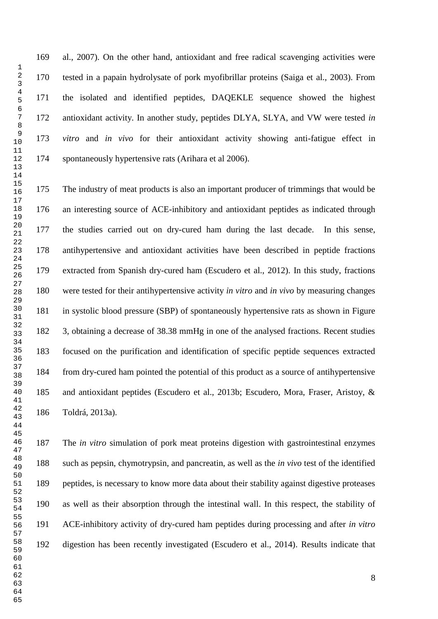al., 2007). On the other hand, antioxidant and free radical scavenging activities were tested in a papain hydrolysate of pork myofibrillar proteins (Saiga et al., 2003). From the isolated and identified peptides, DAQEKLE sequence showed the highest antioxidant activity. In another study, peptides DLYA, SLYA, and VW were tested *in vitro* and *in vivo* for their antioxidant activity showing anti-fatigue effect in spontaneously hypertensive rats (Arihara et al 2006).

 The industry of meat products is also an important producer of trimmings that would be an interesting source of ACE-inhibitory and antioxidant peptides as indicated through the studies carried out on dry-cured ham during the last decade. In this sense, antihypertensive and antioxidant activities have been described in peptide fractions extracted from Spanish dry-cured ham (Escudero et al., 2012). In this study, fractions were tested for their antihypertensive activity *in vitro* and *in vivo* by measuring changes in systolic blood pressure (SBP) of spontaneously hypertensive rats as shown in Figure 3, obtaining a decrease of 38.38 mmHg in one of the analysed fractions. Recent studies focused on the purification and identification of specific peptide sequences extracted from dry-cured ham pointed the potential of this product as a source of antihypertensive and antioxidant peptides (Escudero et al., 2013b; Escudero, Mora, Fraser, Aristoy, & Toldrá, 2013a).

 The *in vitro* simulation of pork meat proteins digestion with gastrointestinal enzymes such as pepsin, chymotrypsin, and pancreatin, as well as the *in vivo* test of the identified peptides, is necessary to know more data about their stability against digestive proteases as well as their absorption through the intestinal wall. In this respect, the stability of ACE-inhibitory activity of dry-cured ham peptides during processing and after *in vitro*  digestion has been recently investigated (Escudero et al., 2014). Results indicate that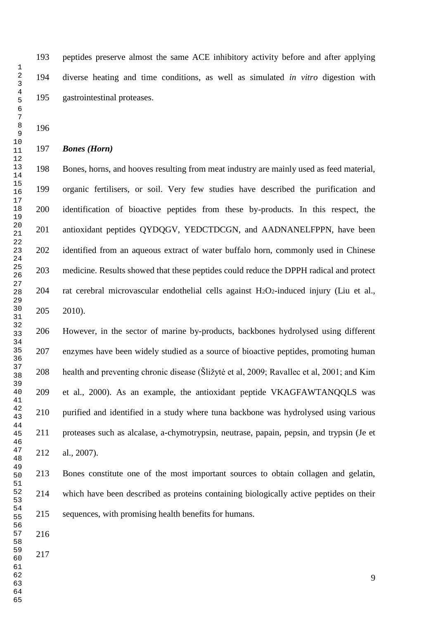peptides preserve almost the same ACE inhibitory activity before and after applying diverse heating and time conditions, as well as simulated *in vitro* digestion with gastrointestinal proteases.

## *Bones (Horn)*

 Bones, horns, and hooves resulting from meat industry are mainly used as feed material, organic fertilisers, or soil. Very few studies have described the purification and identification of bioactive peptides from these by-products. In this respect, the antioxidant peptides QYDQGV, YEDCTDCGN, and AADNANELFPPN, have been identified from an aqueous extract of water buffalo horn, commonly used in Chinese medicine. Results showed that these peptides could reduce the DPPH radical and protect rat cerebral microvascular endothelial cells against H2O2-induced injury (Liu et al., 2010).

 However, in the sector of marine by-products, backbones hydrolysed using different enzymes have been widely studied as a source of bioactive peptides, promoting human health and preventing chronic disease (Šližytė et al, 2009; Ravallec et al, 2001; and Kim et al., 2000). As an example, the antioxidant peptide VKAGFAWTANQQLS was purified and identified in a study where tuna backbone was hydrolysed using various proteases such as alcalase, a-chymotrypsin, neutrase, papain, pepsin, and trypsin (Je et al., 2007).

 Bones constitute one of the most important sources to obtain collagen and gelatin, which have been described as proteins containing biologically active peptides on their sequences, with promising health benefits for humans.

- 
-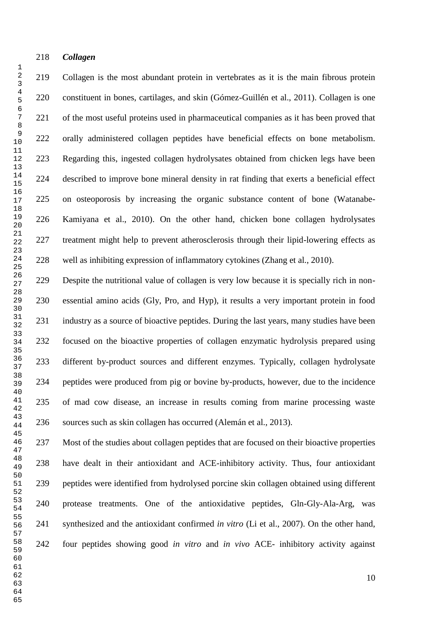#### *Collagen*

 

 Collagen is the most abundant protein in vertebrates as it is the main fibrous protein constituent in bones, cartilages, and skin (Gómez-Guillén et al., 2011). Collagen is one of the most useful proteins used in pharmaceutical companies as it has been proved that orally administered collagen peptides have beneficial effects on bone metabolism. Regarding this, ingested collagen hydrolysates obtained from chicken legs have been described to improve bone mineral density in rat finding that exerts a beneficial effect on osteoporosis by increasing the organic substance content of bone (Watanabe- Kamiyana et al., 2010). On the other hand, chicken bone collagen hydrolysates treatment might help to prevent atherosclerosis through their lipid-lowering effects as well as inhibiting expression of inflammatory cytokines (Zhang et al., 2010).

 Despite the nutritional value of collagen is very low because it is specially rich in non- essential amino acids (Gly, Pro, and Hyp), it results a very important protein in food industry as a source of bioactive peptides. During the last years, many studies have been focused on the bioactive properties of collagen enzymatic hydrolysis prepared using different by-product sources and different enzymes. Typically, collagen hydrolysate peptides were produced from pig or bovine by-products, however, due to the incidence of mad cow disease, an increase in results coming from marine processing waste sources such as skin collagen has occurred (Alemán et al., 2013).

 Most of the studies about collagen peptides that are focused on their bioactive properties have dealt in their antioxidant and ACE-inhibitory activity. Thus, four antioxidant peptides were identified from hydrolysed porcine skin collagen obtained using different protease treatments. One of the antioxidative peptides, Gln-Gly-Ala-Arg, was synthesized and the antioxidant confirmed *in vitro* (Li et al., 2007). On the other hand, four peptides showing good *in vitro* and *in vivo* ACE- inhibitory activity against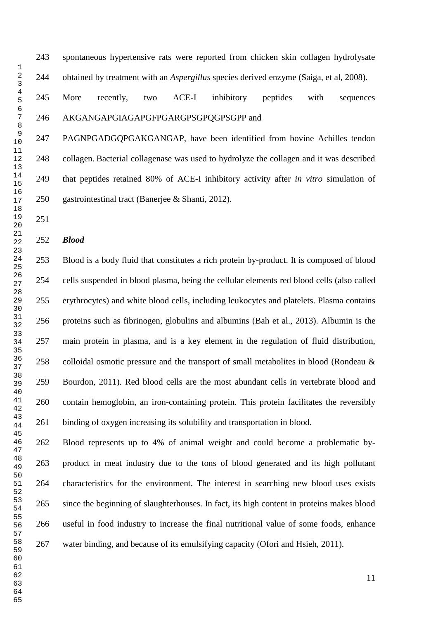spontaneous hypertensive rats were reported from chicken skin collagen hydrolysate obtained by treatment with an *Aspergillus* species derived enzyme (Saiga, et al, 2008).

## More recently, two ACE-I inhibitory peptides with sequences AKGANGAPGIAGAPGFPGARGPSGPQGPSGPP and

 PAGNPGADGQPGAKGANGAP, have been identified from bovine Achilles tendon collagen. Bacterial collagenase was used to hydrolyze the collagen and it was described that peptides retained 80% of ACE-I inhibitory activity after *in vitro* simulation of gastrointestinal tract (Banerjee & Shanti, 2012).

#### *Blood*

 Blood is a body fluid that constitutes a rich protein by-product. It is composed of [blood](http://en.wikipedia.org/wiki/Blood_cells)  [cells](http://en.wikipedia.org/wiki/Blood_cells) suspended in [blood plasma,](http://en.wikipedia.org/wiki/Blood_plasma) being the cellular elements [red blood cells](http://en.wikipedia.org/wiki/Red_blood_cell) (also called erythrocytes) and [white blood cells,](http://en.wikipedia.org/wiki/White_blood_cell) including leukocytes and [platelets.](http://en.wikipedia.org/wiki/Platelet) Plasma contains proteins such as fibrinogen, globulins and albumins (Bah et al., 2013). [Albumin](http://en.wikipedia.org/wiki/Albumin) is the main protein in plasma, and is a key element in the regulation of fluid distribution, colloidal osmotic pressure and the transport of small metabolites in blood (Rondeau & Bourdon, 2011). Red blood cells are the most abundant cells in vertebrate blood and contain [hemoglobin,](http://en.wikipedia.org/wiki/Hemoglobin) an [iron-](http://en.wikipedia.org/wiki/Iron)containing protein. This protein facilitates the reversibly binding of oxygen increasing its solubility and transportation in blood.

 Blood represents up to 4% of animal weight and could become a problematic by- product in meat industry due to the tons of blood generated and its high pollutant characteristics for the environment. The interest in searching new blood uses exists since the beginning of slaughterhouses. In fact, its high content in proteins makes blood useful in food industry to increase the final nutritional value of some foods, enhance water binding, and because of its emulsifying capacity (Ofori and Hsieh, 2011).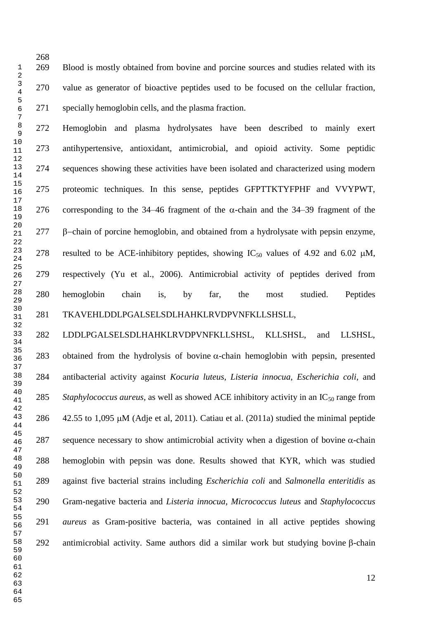Blood is mostly obtained from bovine and porcine sources and studies related with its value as generator of bioactive peptides used to be focused on the cellular fraction, specially hemoglobin cells, and the plasma fraction.

 Hemoglobin and plasma hydrolysates have been described to mainly exert antihypertensive, antioxidant, antimicrobial, and opioid activity. Some peptidic sequences showing these activities have been isolated and characterized using modern proteomic techniques. In this sense, peptides GFPTTKTYFPHF and VVYPWT, 276 corresponding to the 34–46 fragment of the  $\alpha$ -chain and the 34–39 fragment of the  $\beta$ -chain of porcine hemoglobin, and obtained from a hydrolysate with pepsin enzyme, 278 resulted to be ACE-inhibitory peptides, showing  $IC_{50}$  values of 4.92 and 6.02  $\mu$ M, respectively (Yu et al., 2006). Antimicrobial activity of peptides derived from hemoglobin chain is, by far, the most studied. Peptides TKAVEHLDDLPGALSELSDLHAHKLRVDPVNFKLLSHSLL,

 LDDLPGALSELSDLHAHKLRVDPVNFKLLSHSL, KLLSHSL, and LLSHSL, 283 obtained from the hydrolysis of bovine  $\alpha$ -chain hemoglobin with pepsin, presented antibacterial activity against *Kocuria luteus, Listeria innocua, Escherichia coli,* and *Staphylococcus aureus*, as well as showed ACE inhibitory activity in an IC<sub>50</sub> range from  $\div$  42.55 to 1,095  $\mu$ M (Adje et al, 2011). Catiau et al. (2011a) studied the minimal peptide 287 sequence necessary to show antimicrobial activity when a digestion of bovine  $\alpha$ -chain hemoglobin with pepsin was done. Results showed that KYR, which was studied against five bacterial strains including *[Escherichia coli](javascript:void(0);)* and *Salmonella enteritidis* as Gram-negative bacteria and *Listeria innocua, Micrococcus luteus* and *Staphylococcus aureus* as Gram-positive bacteria, was contained in all active peptides showing 292 antimicrobial activity. Same authors did a similar work but studying bovine  $\beta$ -chain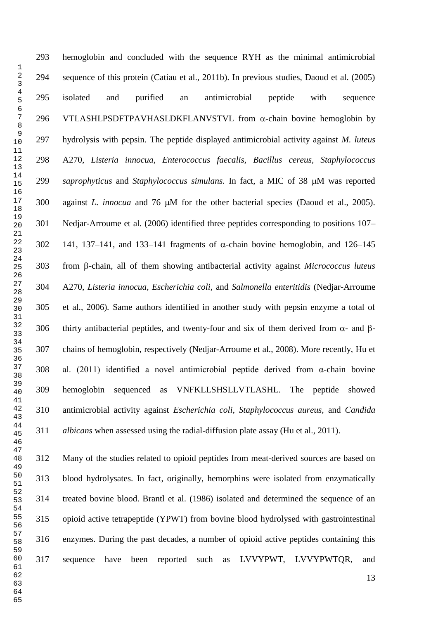hemoglobin and concluded with the sequence RYH as the minimal antimicrobial sequence of this protein (Catiau et al., 2011b). In previous studies, Daoud et al. (2005) isolated and purified an antimicrobial peptide with sequence 296 VTLASHLPSDFTPAVHASLDKFLANVSTVL from  $\alpha$ -chain bovine hemoglobin by hydrolysis with pepsin. The peptide displayed antimicrobial activity against *M. luteus*  A270, *Listeria innocua*, *Enterococcus faecalis, Bacillus cereus, Staphylococcus saprophyticus* and *Staphylococcus simulans*. In fact, a MIC of 38 µM was reported 300 against *L. innocua* and 76  $\mu$ M for the other bacterial species (Daoud et al., 2005). Nedjar-Arroume et al. (2006) identified three peptides corresponding to positions 107– 302 141, 137–141, and 133–141 fragments of  $\alpha$ -chain bovine hemoglobin, and 126–145 303 from B-chain, all of them showing antibacterial activity against *Micrococcus luteus*  A270, *Listeria innocua, Escherichia coli,* and *Salmonella enteritidis* (Nedjar-Arroume et al., 2006)*.* Same authors identified in another study with pepsin enzyme a total of 306 thirty antibacterial peptides, and twenty-four and six of them derived from  $\alpha$ - and  $\beta$ - chains of hemoglobin, respectively (Nedjar-Arroume et al., 2008). More recently, Hu et al. (2011) identified a novel antimicrobial peptide derived from α-chain bovine hemoglobin sequenced as VNFKLLSHSLLVTLASHL. The peptide showed antimicrobial activity against *Escherichia coli, Staphylococcus aureus,* and *Candida albicans* when assessed using the radial-diffusion plate assay (Hu et al., 2011).

 Many of the studies related to opioid peptides from meat-derived sources are based on blood hydrolysates. In fact, originally, hemorphins were isolated from enzymatically treated bovine blood. Brantl et al. (1986) isolated and determined the sequence of an opioid active tetrapeptide (YPWT) from bovine blood hydrolysed with gastrointestinal enzymes. During the past decades, a number of opioid active peptides containing this sequence have been reported such as LVVYPWT, LVVYPWTQR, and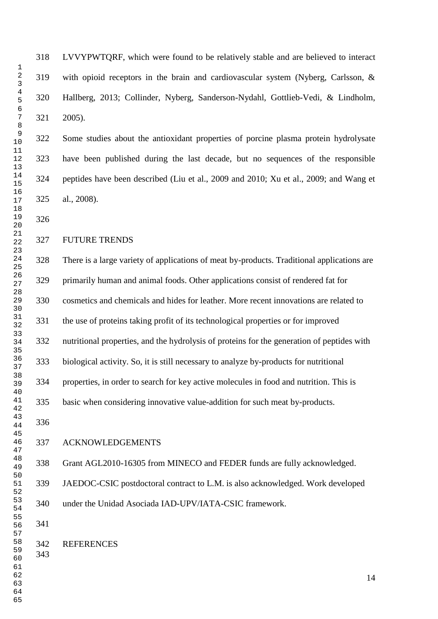LVVYPWTQRF, which were found to be relatively stable and are believed to interact with opioid receptors in the brain and cardiovascular system (Nyberg, Carlsson, & Hallberg, 2013; Collinder, Nyberg, Sanderson-Nydahl, Gottlieb-Vedi, & Lindholm, 2005).

 Some studies about the antioxidant properties of porcine plasma protein hydrolysate have been published during the last decade, but no sequences of the responsible peptides have been described (Liu et al., 2009 and 2010; Xu et al., 2009; and Wang et al., 2008).

#### FUTURE TRENDS

 There is a large variety of applications of meat by-products. Traditional applications are primarily human and animal foods. Other applications consist of rendered fat for cosmetics and chemicals and hides for leather. More recent innovations are related to the use of proteins taking profit of its technological properties or for improved nutritional properties, and the hydrolysis of proteins for the generation of peptides with biological activity. So, it is still necessary to analyze by-products for nutritional properties, in order to search for key active molecules in food and nutrition. This is basic when considering innovative value-addition for such meat by-products. ACKNOWLEDGEMENTS

Grant AGL2010-16305 from MINECO and FEDER funds are fully acknowledged.

 JAEDOC-CSIC postdoctoral contract to L.M. is also acknowledged. Work developed under the Unidad Asociada IAD-UPV/IATA-CSIC framework.

REFERENCES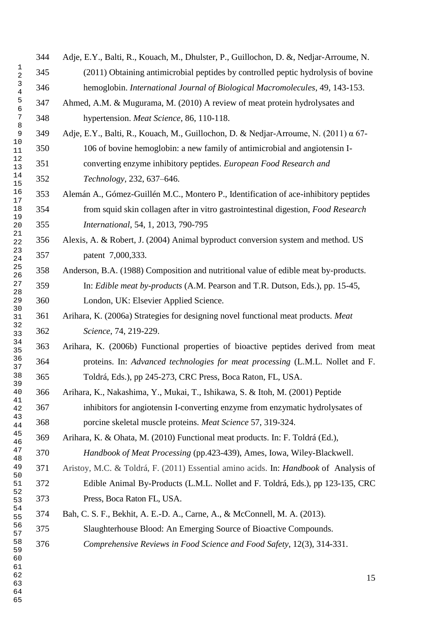Adje, E.Y., Balti, R., Kouach, M., Dhulster, P., Guillochon, D. &, Nedjar-Arroume, N. (2011) Obtaining antimicrobial peptides by controlled peptic hydrolysis of bovine hemoglobin. *International Journal of Biological Macromolecules*, 49, 143-153. Ahmed, A.M. & Mugurama, M. (2010) A review of meat protein hydrolysates and hypertension. *Meat Science*, 86, 110-118. Adje, E.Y., Balti, R., Kouach, M., Guillochon, D. & Nedjar-Arroume, N. (2011) α 67- 106 of bovine hemoglobin: a new family of antimicrobial and angiotensin I- converting enzyme inhibitory peptides. *European Food Research and Technology*, 232, 637–646. Alemán A., Gómez-Guillén M.C., Montero P., Identification of ace-inhibitory peptides from squid skin collagen after in vitro gastrointestinal digestion, *Food Research International*, 54, 1, 2013, 790-795 Alexis, A. & Robert, J. (2004) Animal byproduct conversion system and method. US patent 7,000,333. Anderson, B.A. (1988) Composition and nutritional value of edible meat by-products. In: *Edible meat by-products* (A.M. Pearson and T.R. Dutson, Eds.), pp. 15-45, London, UK: Elsevier Applied Science. Arihara, K. (2006a) Strategies for designing novel functional meat products. *Meat Science*, 74, 219-229. Arihara, K. (2006b) Functional properties of bioactive peptides derived from meat proteins. In: *Advanced technologies for meat processing* (L.M.L. Nollet and F. Toldrá, Eds.), pp 245-273, CRC Press, Boca Raton, FL, USA. Arihara, K., Nakashima, Y., Mukai, T., Ishikawa, S. & Itoh, M. (2001) Peptide inhibitors for angiotensin I-converting enzyme from enzymatic hydrolysates of porcine skeletal muscle proteins. *Meat Science* 57, 319-324. Arihara, K. & Ohata, M. (2010) Functional meat products. In: F. Toldrá (Ed.), *Handbook of Meat Processing* (pp.423-439), Ames, Iowa, Wiley-Blackwell. Aristoy, M.C. & Toldrá, F. (2011) Essential amino acids. In: *Handbook* of Analysis of Edible Animal By-Products (L.M.L. Nollet and F. Toldrá, Eds.), pp 123-135, CRC Press, Boca Raton FL, USA. Bah, C. S. F., Bekhit, A. E.-D. A., Carne, A., & McConnell, M. A. (2013). Slaughterhouse Blood: An Emerging Source of Bioactive Compounds. *Comprehensive Reviews in Food Science and Food Safety*, 12(3), 314-331.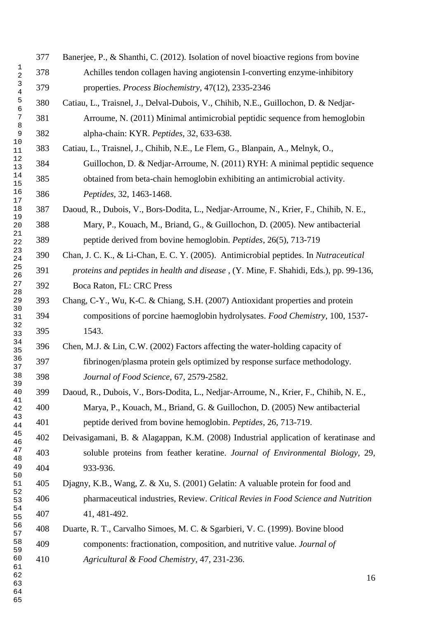|                               | 377 | Banerjee, P., & Shanthi, C. (2012). Isolation of novel bioactive regions from bovine  |
|-------------------------------|-----|---------------------------------------------------------------------------------------|
| 1<br>$\overline{2}$           | 378 | Achilles tendon collagen having angiotensin I-converting enzyme-inhibitory            |
| $\mathsf 3$<br>$\overline{4}$ | 379 | properties. Process Biochemistry, 47(12), 2335-2346                                   |
| 5<br>6                        | 380 | Catiau, L., Traisnel, J., Delval-Dubois, V., Chihib, N.E., Guillochon, D. & Nedjar-   |
| 7                             | 381 | Arroume, N. (2011) Minimal antimicrobial peptidic sequence from hemoglobin            |
| 8<br>9                        | 382 | alpha-chain: KYR. Peptides, 32, 633-638.                                              |
| 10<br>11                      | 383 | Catiau, L., Traisnel, J., Chihib, N.E., Le Flem, G., Blanpain, A., Melnyk, O.,        |
| $1\,2$<br>13                  | 384 | Guillochon, D. & Nedjar-Arroume, N. (2011) RYH: A minimal peptidic sequence           |
| 14<br>15                      | 385 | obtained from beta-chain hemoglobin exhibiting an antimicrobial activity.             |
| 16<br>$17\,$                  | 386 | Peptides, 32, 1463-1468.                                                              |
| $18\,$                        | 387 | Daoud, R., Dubois, V., Bors-Dodita, L., Nedjar-Arroume, N., Krier, F., Chihib, N. E., |
| 19<br>20                      | 388 | Mary, P., Kouach, M., Briand, G., & Guillochon, D. (2005). New antibacterial          |
| 21<br>22                      | 389 | peptide derived from bovine hemoglobin. Peptides, 26(5), 713-719                      |
| 23<br>24                      | 390 | Chan, J. C. K., & Li-Chan, E. C. Y. (2005). Antimicrobial peptides. In Nutraceutical  |
| 25<br>26                      | 391 | proteins and peptides in health and disease, (Y. Mine, F. Shahidi, Eds.), pp. 99-136, |
| 27<br>28                      | 392 | Boca Raton, FL: CRC Press                                                             |
| 29<br>30                      | 393 | Chang, C-Y., Wu, K-C. & Chiang, S.H. (2007) Antioxidant properties and protein        |
| 31                            | 394 | compositions of porcine haemoglobin hydrolysates. Food Chemistry, 100, 1537-          |
| 32<br>33                      | 395 | 1543.                                                                                 |
| 34<br>35                      | 396 | Chen, M.J. & Lin, C.W. (2002) Factors affecting the water-holding capacity of         |
| 36<br>37                      | 397 | fibrinogen/plasma protein gels optimized by response surface methodology.             |
| 38<br>39                      | 398 | Journal of Food Science, 67, 2579-2582.                                               |
| 40<br>41                      | 399 | Daoud, R., Dubois, V., Bors-Dodita, L., Nedjar-Arroume, N., Krier, F., Chihib, N. E., |
| 42                            | 400 | Marya, P., Kouach, M., Briand, G. & Guillochon, D. (2005) New antibacterial           |
| 43<br>44                      | 401 | peptide derived from bovine hemoglobin. Peptides, 26, 713-719.                        |
| 45<br>46                      | 402 | Deivasigamani, B. & Alagappan, K.M. (2008) Industrial application of keratinase and   |
| 47<br>48                      | 403 | soluble proteins from feather keratine. Journal of Environmental Biology, 29,         |
| 49<br>50                      | 404 | 933-936.                                                                              |
| 51<br>52                      | 405 | Djagny, K.B., Wang, Z. & Xu, S. (2001) Gelatin: A valuable protein for food and       |
| 53                            | 406 | pharmaceutical industries, Review. Critical Revies in Food Science and Nutrition      |
| 54<br>55                      | 407 | 41, 481-492.                                                                          |
| 56<br>57                      | 408 | Duarte, R. T., Carvalho Simoes, M. C. & Sgarbieri, V. C. (1999). Bovine blood         |
| 58<br>59                      | 409 | components: fractionation, composition, and nutritive value. Journal of               |
| 60<br>61                      | 410 | Agricultural & Food Chemistry, 47, 231-236.                                           |
| 62                            |     | 16                                                                                    |
| 63<br>64                      |     |                                                                                       |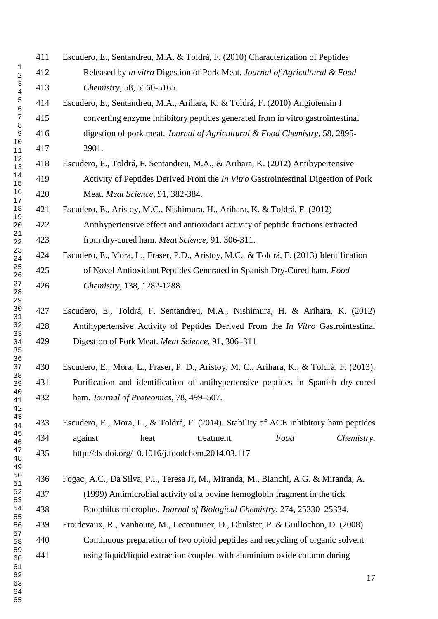|                                | 411 | Escudero, E., Sentandreu, M.A. & Toldrá, F. (2010) Characterization of Peptides          |
|--------------------------------|-----|------------------------------------------------------------------------------------------|
| $\mathbf{1}$<br>$\overline{a}$ | 412 | Released by in vitro Digestion of Pork Meat. Journal of Agricultural & Food              |
| 3<br>$\bf 4$                   | 413 | Chemistry, 58, 5160-5165.                                                                |
| 5<br>$\overline{6}$            | 414 | Escudero, E., Sentandreu, M.A., Arihara, K. & Toldrá, F. (2010) Angiotensin I            |
| $\sqrt{ }$                     | 415 | converting enzyme inhibitory peptides generated from in vitro gastrointestinal           |
| 8<br>$\mathsf 9$               | 416 | digestion of pork meat. Journal of Agricultural & Food Chemistry, 58, 2895-              |
| $10$<br>11                     | 417 | 2901.                                                                                    |
| 12<br>13                       | 418 | Escudero, E., Toldrá, F. Sentandreu, M.A., & Arihara, K. (2012) Antihypertensive         |
| 14<br>15                       | 419 | Activity of Peptides Derived From the <i>In Vitro</i> Gastrointestinal Digestion of Pork |
| 16<br>$17$                     | 420 | Meat. Meat Science, 91, 382-384.                                                         |
| 18                             | 421 | Escudero, E., Aristoy, M.C., Nishimura, H., Arihara, K. & Toldrá, F. (2012)              |
| 19<br>20                       | 422 | Antihypertensive effect and antioxidant activity of peptide fractions extracted          |
| 21<br>22                       | 423 | from dry-cured ham. Meat Science, 91, 306-311.                                           |
| 23<br>24                       | 424 | Escudero, E., Mora, L., Fraser, P.D., Aristoy, M.C., & Toldrá, F. (2013) Identification  |
| 25<br>26                       | 425 | of Novel Antioxidant Peptides Generated in Spanish Dry-Cured ham. Food                   |
| 27<br>28<br>29                 | 426 | Chemistry, 138, 1282-1288.                                                               |
| 30<br>31                       | 427 | Escudero, E., Toldrá, F. Sentandreu, M.A., Nishimura, H. & Arihara, K. (2012)            |
| 32                             | 428 | Antihypertensive Activity of Peptides Derived From the <i>In Vitro</i> Gastrointestinal  |
| 33<br>34<br>35                 | 429 | Digestion of Pork Meat. Meat Science, 91, 306-311                                        |
| 36<br>37                       | 430 | Escudero, E., Mora, L., Fraser, P. D., Aristoy, M. C., Arihara, K., & Toldrá, F. (2013). |
| 38<br>39                       | 431 | Purification and identification of antihypertensive peptides in Spanish dry-cured        |
| 40<br>41<br>42                 | 432 | ham. Journal of Proteomics, 78, 499-507.                                                 |
| 43<br>44                       | 433 | Escudero, E., Mora, L., & Toldrá, F. (2014). Stability of ACE inhibitory ham peptides    |
| 45<br>46                       | 434 | against<br>Food<br>heat<br>treatment.<br>Chemistry,                                      |
| 47<br>48<br>49                 | 435 | http://dx.doi.org/10.1016/j.foodchem.2014.03.117                                         |
| $50$<br>51                     | 436 | Fogac, A.C., Da Silva, P.I., Teresa Jr, M., Miranda, M., Bianchi, A.G. & Miranda, A.     |
| 52<br>53                       | 437 | (1999) Antimicrobial activity of a bovine hemoglobin fragment in the tick                |
| 54                             | 438 | Boophilus microplus. Journal of Biological Chemistry, 274, 25330-25334.                  |
| 55<br>56                       | 439 | Froidevaux, R., Vanhoute, M., Lecouturier, D., Dhulster, P. & Guillochon, D. (2008)      |
| 57<br>58                       | 440 | Continuous preparation of two opioid peptides and recycling of organic solvent           |
| 59<br>60                       | 441 | using liquid/liquid extraction coupled with aluminium oxide column during                |
| 61<br>62<br>63                 |     | 17                                                                                       |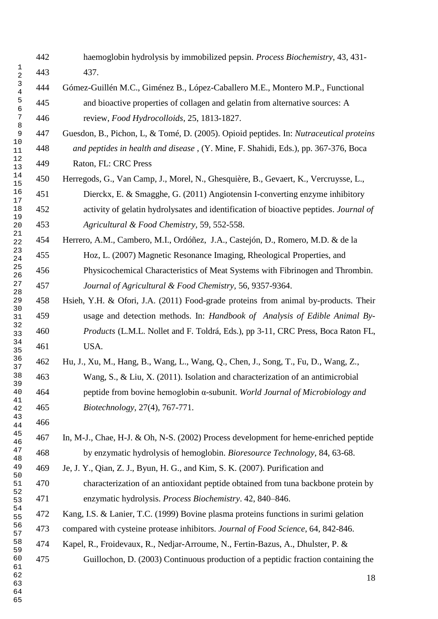- haemoglobin hydrolysis by immobilized pepsin. *Process Biochemistry*, 43, 431- 437. Gómez-Guillén M.C., Giménez B., López-Caballero M.E., Montero M.P., Functional and bioactive properties of collagen and gelatin from alternative sources: A review, *Food Hydrocolloids*, 25, 1813-1827. Guesdon, B., Pichon, L, & Tomé, D. (2005). Opioid peptides. In: *Nutraceutical proteins and peptides in health and disease* , (Y. Mine, F. Shahidi, Eds.), pp. 367-376, Boca Raton, FL: CRC Press Herregods, G., Van Camp, J., Morel, N., Ghesquière, B., Gevaert, K., Vercruysse, L., Dierckx, E. & Smagghe, G. (2011) Angiotensin I-converting enzyme inhibitory activity of gelatin hydrolysates and identification of bioactive peptides. *Journal of Agricultural & Food Chemistry,* 59, 552-558. Herrero, A.M., Cambero, M.I., Ordóñez, J.A., Castejón, D., Romero, M.D. & de la Hoz, L. (2007) Magnetic Resonance Imaging, Rheological Properties, and Physicochemical Characteristics of Meat Systems with Fibrinogen and Thrombin. *Journal of Agricultural & Food Chemistry,* 56, 9357-9364. Hsieh, Y.H. & Ofori, J.A. (2011) Food-grade proteins from animal by-products. Their usage and detection methods. In: *Handbook of Analysis of Edible Animal By- Products* (L.M.L. Nollet and F. Toldrá, Eds.), pp 3-11, CRC Press, Boca Raton FL, USA. Hu, J., Xu, M., Hang, B., Wang, L., Wang, Q., Chen, J., Song, T., Fu, D., Wang, Z., Wang, S., & Liu, X. (2011). Isolation and characterization of an antimicrobial peptide from bovine hemoglobin α-subunit. *World Journal of Microbiology and Biotechnology*, 27(4), 767-771. In, M-J., Chae, H-J. & Oh, N-S. (2002) Process development for heme-enriched peptide by enzymatic hydrolysis of hemoglobin. *Bioresource Technology*, 84, 63-68. Je, J. Y., Qian, Z. J., Byun, H. G., and Kim, S. K. (2007). Purification and characterization of an antioxidant peptide obtained from tuna backbone protein by enzymatic hydrolysis. *Process Biochemistry*. 42, 840–846. Kang, I.S. & Lanier, T.C. (1999) Bovine plasma proteins functions in surimi gelation compared with cysteine protease inhibitors. *Journal of Food Science*, 64, 842-846. Kapel, R., Froidevaux, R., Nedjar-Arroume, N., Fertin-Bazus, A., Dhulster, P. & Guillochon, D. (2003) Continuous production of a peptidic fraction containing the
-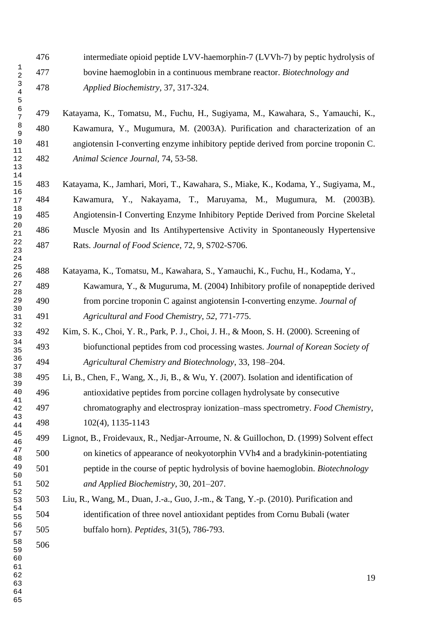intermediate opioid peptide LVV-haemorphin-7 (LVVh-7) by peptic hydrolysis of bovine haemoglobin in a continuous membrane reactor. *Biotechnology and Applied Biochemistry*, 37, 317-324.

 Katayama, K., Tomatsu, M., Fuchu, H., Sugiyama, M., Kawahara, S., Yamauchi, K., Kawamura, Y., Mugumura, M. (2003A). Purification and characterization of an angiotensin I-converting enzyme inhibitory peptide derived from porcine troponin C. *Animal Science Journal,* 74, 53-58.

 Katayama, K., Jamhari, Mori, T., Kawahara, S., Miake, K., Kodama, Y., Sugiyama, M., Kawamura, Y., Nakayama, T., Maruyama, M., Mugumura, M. (2003B). Angiotensin-I Converting Enzyme Inhibitory Peptide Derived from Porcine Skeletal Muscle Myosin and Its Antihypertensive Activity in Spontaneously Hypertensive Rats. *Journal of Food Science,* 72, 9, S702-S706.

- Katayama, K., Tomatsu, M., Kawahara, S., Yamauchi, K., Fuchu, H., Kodama, Y., Kawamura, Y., & Muguruma, M. (2004) Inhibitory profile of nonapeptide derived from porcine troponin C against angiotensin I-converting enzyme. *Journal of Agricultural and Food Chemistry*, *52*, 771-775.
- Kim, S. K., Choi, Y. R., Park, P. J., Choi, J. H., & Moon, S. H. (2000). Screening of biofunctional peptides from cod processing wastes. *Journal of Korean Society of Agricultural Chemistry and Biotechnology*, 33, 198–204.
- Li, B., Chen, F., Wang, X., Ji, B., & Wu, Y. (2007). Isolation and identification of antioxidative peptides from porcine collagen hydrolysate by consecutive chromatography and electrospray ionization–mass spectrometry. *Food Chemistry*, 102(4), 1135-1143
- Lignot, B., Froidevaux, R., Nedjar-Arroume, N. & Guillochon, D. (1999) Solvent effect on kinetics of appearance of neokyotorphin VVh4 and a bradykinin-potentiating peptide in the course of peptic hydrolysis of bovine haemoglobin. *Biotechnology and Applied Biochemistry*, 30, 201–207.
- Liu, R., Wang, M., Duan, J.-a., Guo, J.-m., & Tang, Y.-p. (2010). Purification and identification of three novel antioxidant peptides from Cornu Bubali (water buffalo horn). *Peptides*, 31(5), 786-793.
-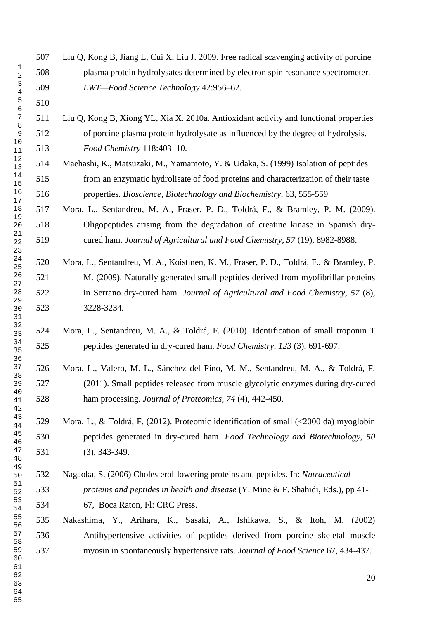|                         | 507 | Liu Q, Kong B, Jiang L, Cui X, Liu J. 2009. Free radical scavenging activity of porcine |
|-------------------------|-----|-----------------------------------------------------------------------------------------|
| 1<br>$\overline{2}$     | 508 | plasma protein hydrolysates determined by electron spin resonance spectrometer.         |
| $\mathbf{3}$<br>$\bf 4$ | 509 | LWT-Food Science Technology 42:956-62.                                                  |
| 5<br>$\epsilon$         | 510 |                                                                                         |
| 7                       | 511 | Liu Q, Kong B, Xiong YL, Xia X. 2010a. Antioxidant activity and functional properties   |
| 8<br>$\overline{9}$     | 512 | of porcine plasma protein hydrolysate as influenced by the degree of hydrolysis.        |
| 10<br>11                | 513 | Food Chemistry 118:403-10.                                                              |
| 12<br>13                | 514 | Maehashi, K., Matsuzaki, M., Yamamoto, Y. & Udaka, S. (1999) Isolation of peptides      |
| 14<br>15                | 515 | from an enzymatic hydrolisate of food proteins and characterization of their taste      |
| 16<br>17                | 516 | properties. Bioscience, Biotechnology and Biochemistry, 63, 555-559                     |
| 18                      | 517 | Mora, L., Sentandreu, M. A., Fraser, P. D., Toldrá, F., & Bramley, P. M. (2009).        |
| 19<br>20                | 518 | Oligopeptides arising from the degradation of creatine kinase in Spanish dry-           |
| 21<br>22<br>23          | 519 | cured ham. Journal of Agricultural and Food Chemistry, 57 (19), 8982-8988.              |
| 24<br>25                | 520 | Mora, L., Sentandreu, M. A., Koistinen, K. M., Fraser, P. D., Toldrá, F., & Bramley, P. |
| 26<br>27                | 521 | M. (2009). Naturally generated small peptides derived from myofibrillar proteins        |
| 28                      | 522 | in Serrano dry-cured ham. Journal of Agricultural and Food Chemistry, 57 (8),           |
| 29<br>30<br>31          | 523 | 3228-3234.                                                                              |
| 32<br>33                | 524 | Mora, L., Sentandreu, M. A., & Toldrá, F. (2010). Identification of small troponin T    |
| 34<br>35<br>36          | 525 | peptides generated in dry-cured ham. Food Chemistry, 123 (3), 691-697.                  |
| 37                      | 526 | Mora, L., Valero, M. L., Sánchez del Pino, M. M., Sentandreu, M. A., & Toldrá, F.       |
| 38<br>39                | 527 | (2011). Small peptides released from muscle glycolytic enzymes during dry-cured         |
| 40<br>41<br>42          | 528 | ham processing. Journal of Proteomics, 74 (4), 442-450.                                 |
| 43<br>44                | 529 | Mora, L., & Toldrá, F. (2012). Proteomic identification of small (<2000 da) myoglobin   |
| 45<br>46                | 530 | peptides generated in dry-cured ham. Food Technology and Biotechnology, 50              |
| 47<br>48                | 531 | $(3), 343-349.$                                                                         |
| 49<br>50                | 532 | Nagaoka, S. (2006) Cholesterol-lowering proteins and peptides. In: Nutraceutical        |
| 51<br>52                | 533 | proteins and peptides in health and disease (Y. Mine & F. Shahidi, Eds.), pp 41-        |
| 53<br>54                | 534 | 67, Boca Raton, Fl: CRC Press.                                                          |
| 55<br>56                | 535 | Nakashima, Y., Arihara, K., Sasaki, A., Ishikawa, S., & Itoh, M. (2002)                 |
| 57                      | 536 | Antihypertensive activities of peptides derived from porcine skeletal muscle            |
| 58<br>59<br>60<br>61    | 537 | myosin in spontaneously hypertensive rats. Journal of Food Science 67, 434-437.         |
| 62<br>63                |     | 20                                                                                      |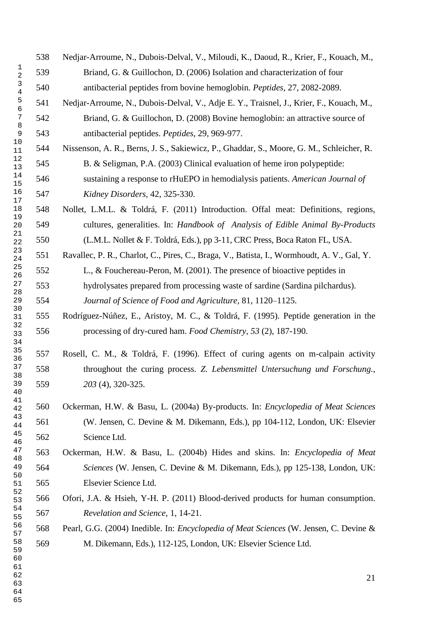Nedjar-Arroume, N., Dubois-Delval, V., Miloudi, K., Daoud, R., Krier, F., Kouach, M., Briand, G. & Guillochon, D. (2006) Isolation and characterization of four antibacterial peptides from bovine hemoglobin. *Peptides*, 27, 2082-2089. Nedjar-Arroume, N., Dubois-Delval, V., Adje E. Y., Traisnel, J., Krier, F., Kouach, M., Briand, G. & Guillochon, D. (2008) Bovine hemoglobin: an attractive source of antibacterial peptides. *Peptides*, 29, 969-977. Nissenson, A. R., Berns, J. S., Sakiewicz, P., Ghaddar, S., Moore, G. M., Schleicher, R. B. & Seligman, P.A. (2003) Clinical evaluation of heme iron polypeptide: sustaining a response to rHuEPO in hemodialysis patients. *American Journal of Kidney Disorders,* 42, 325-330. Nollet, L.M.L. & Toldrá, F. (2011) Introduction. Offal meat: Definitions, regions, cultures, generalities. In: *Handbook of Analysis of Edible Animal By-Products* (L.M.L. Nollet & F. Toldrá, Eds.), pp 3-11, CRC Press, Boca Raton FL, USA. Ravallec, P. R., Charlot, C., Pires, C., Braga, V., Batista, I., Wormhoudt, A. V., Gal, Y. L., & Fouchereau-Peron, M. (2001). The presence of bioactive peptides in hydrolysates prepared from processing waste of sardine (Sardina pilchardus). *Journal of Science of Food and Agriculture,* 81, 1120–1125. Rodríguez-Núñez, E., Aristoy, M. C., & Toldrá, F. (1995). Peptide generation in the processing of dry-cured ham. *Food Chemistry*, *53* (2), 187-190. Rosell, C. M., & Toldrá, F. (1996). Effect of curing agents on m-calpain activity throughout the curing process. *Z. Lebensmittel Untersuchung und Forschung., 203* (4), 320-325. Ockerman, H.W. & Basu, L. (2004a) By-products. In: *Encyclopedia of Meat Sciences* (W. Jensen, C. Devine & M. Dikemann, Eds.), pp 104-112, London, UK: Elsevier Science Ltd. Ockerman, H.W. & Basu, L. (2004b) Hides and skins. In: *Encyclopedia of Meat Sciences* (W. Jensen, C. Devine & M. Dikemann, Eds.), pp 125-138, London, UK: Elsevier Science Ltd. Ofori, J.A. & Hsieh, Y-H. P. (2011) Blood-derived products for human consumption. *Revelation and Science*, 1, 14-21. Pearl, G.G. (2004) Inedible. In: *Encyclopedia of Meat Sciences* (W. Jensen, C. Devine & M. Dikemann, Eds.), 112-125, London, UK: Elsevier Science Ltd.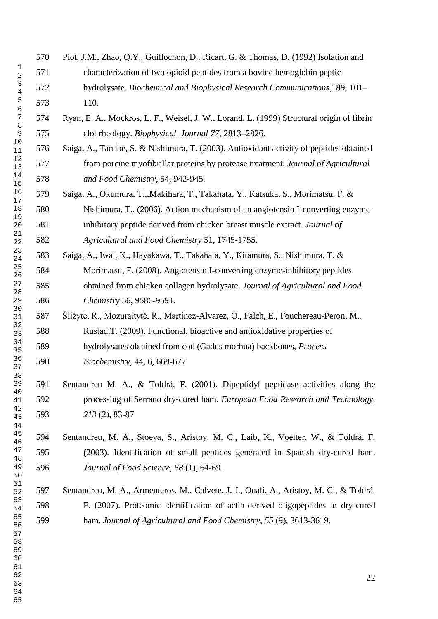- Piot, J.M., Zhao, Q.Y., Guillochon, D., Ricart, G. & Thomas, D. (1992) Isolation and characterization of two opioid peptides from a bovine hemoglobin peptic hydrolysate. *Biochemical and Biophysical Research Communications*,189, 101– 110. Ryan, E. A., Mockros, L. F., Weisel, J. W., Lorand, L. (1999) Structural origin of fibrin clot rheology. *Biophysical Journal 77*, 2813–2826. Saiga, A., Tanabe, S. & Nishimura, T. (2003). Antioxidant activity of peptides obtained from porcine myofibrillar proteins by protease treatment. *Journal of Agricultural and Food Chemistry*, 54, 942-945. Saiga, A., Okumura, T..,Makihara, T., Takahata, Y., Katsuka, S., Morimatsu, F. & Nishimura, T., (2006). Action mechanism of an angiotensin I-converting enzyme- inhibitory peptide derived from chicken breast muscle extract. *Journal of Agricultural and Food Chemistry* 51, 1745-1755. Saiga, A., Iwai, K., Hayakawa, T., Takahata, Y., Kitamura, S., Nishimura, T. & Morimatsu, F. (2008). Angiotensin I-converting enzyme-inhibitory peptides obtained from chicken collagen hydrolysate. *Journal of Agricultural and Food Chemistry* 56, 9586-9591. Šližytė, R., Mozuraitytė, R., Martínez-Alvarez, O., Falch, E., Fouchereau-Peron, M., Rustad,T. (2009). Functional, bioactive and antioxidative properties of hydrolysates obtained from cod (Gadus morhua) backbones, *Process Biochemistry*, 44, 6, 668-677 Sentandreu M. A., & Toldrá, F. (2001). Dipeptidyl peptidase activities along the processing of Serrano dry-cured ham. *European Food Research and Technology, 213* (2), 83-87 Sentandreu, M. A., Stoeva, S., Aristoy, M. C., Laib, K., Voelter, W., & Toldrá, F. (2003). Identification of small peptides generated in Spanish dry-cured ham. *Journal of Food Science, 68* (1), 64-69. Sentandreu, M. A., Armenteros, M., Calvete, J. J., Ouali, A., Aristoy, M. C., & Toldrá, F. (2007). Proteomic identification of actin-derived oligopeptides in dry-cured ham. *Journal of Agricultural and Food Chemistry, 55* (9), 3613-3619.
-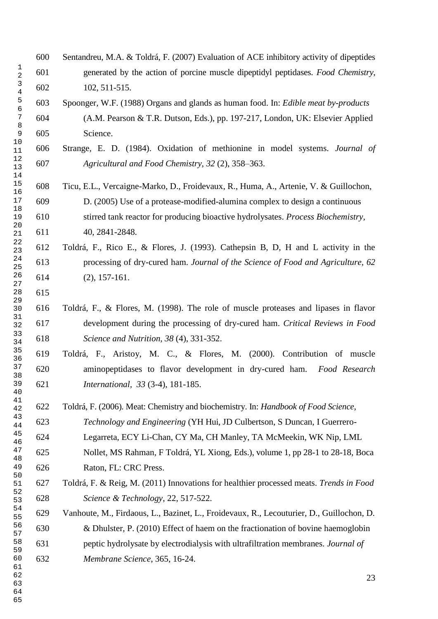- Sentandreu, M.A. & Toldrá, F. (2007) Evaluation of ACE inhibitory activity of dipeptides generated by the action of porcine muscle dipeptidyl peptidases. *Food Chemistry*, 102, 511-515. Spoonger, W.F. (1988) Organs and glands as human food. In: *Edible meat by-products* (A.M. Pearson & T.R. Dutson, Eds.), pp. 197-217, London, UK: Elsevier Applied Science. Strange, E. D. (1984). Oxidation of methionine in model systems. *Journal of Agricultural and Food Chemistry, 32* (2), 358–363. Ticu, E.L., Vercaigne-Marko, D., Froidevaux, R., Huma, A., Artenie, V. & Guillochon, D. (2005) Use of a protease-modified-alumina complex to design a continuous stirred tank reactor for producing bioactive hydrolysates. *Process Biochemistry,* 40, 2841-2848. Toldrá, F., Rico E., & Flores, J. (1993). Cathepsin B, D, H and L activity in the processing of dry-cured ham. *Journal of the Science of Food and Agriculture, 62*  (2), 157-161. Toldrá, F., & Flores, M. (1998). The role of muscle proteases and lipases in flavor development during the processing of dry-cured ham. *Critical Reviews in Food Science and Nutrition, 38* (4), 331-352. Toldrá, F., Aristoy, M. C., & Flores, M. (2000). Contribution of muscle aminopeptidases to flavor development in dry-cured ham. *Food Research International, 33* (3-4), 181-185. Toldrá, F. (2006). Meat: Chemistry and biochemistry. In: *Handbook of Food Science, Technology and Engineering* (YH Hui, JD Culbertson, S Duncan, I Guerrero- Legarreta, ECY Li-Chan, CY Ma, CH Manley, TA McMeekin, WK Nip, LML Nollet, MS Rahman, F Toldrá, YL Xiong, Eds.), volume 1, pp 28-1 to 28-18, Boca Raton, FL: CRC Press. Toldrá, F. & Reig, M. (2011) Innovations for healthier processed meats. *Trends in Food Science & Technology*, 22, 517-522. Vanhoute, M., Firdaous, L., Bazinet, L., Froidevaux, R., Lecouturier, D., Guillochon, D. & Dhulster, P. (2010) Effect of haem on the fractionation of bovine haemoglobin peptic hydrolysate by electrodialysis with ultrafiltration membranes. *Journal of Membrane Science*, 365, 16-24.
-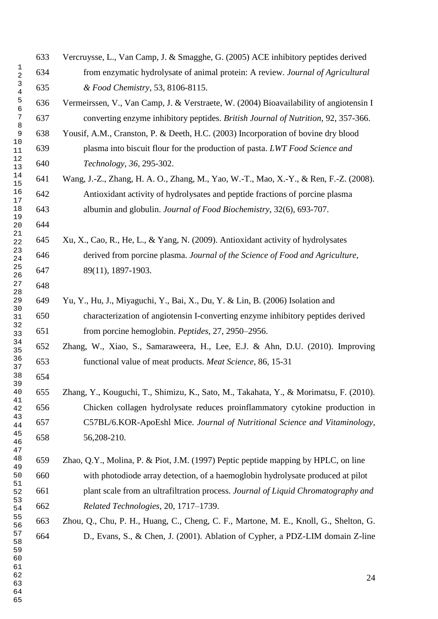Vercruysse, L., Van Camp, J. & Smagghe, G. (2005) ACE inhibitory peptides derived from enzymatic hydrolysate of animal protein: A review. *Journal of Agricultural & Food Chemistry*, 53, 8106-8115. Vermeirssen, V., Van Camp, J. & Verstraete, W. (2004) Bioavailability of angiotensin I converting enzyme inhibitory peptides. *British Journal of Nutrition*, 92, 357-366. Yousif, A.M., Cranston, P. & Deeth, H.C. (2003) Incorporation of bovine dry blood plasma into biscuit flour for the production of pasta. *LWT Food Science and Technology, 36*, 295-302. Wang, J.-Z., Zhang, H. A. O., Zhang, M., Yao, W.-T., Mao, X.-Y., & Ren, F.-Z. (2008). Antioxidant activity of hydrolysates and peptide fractions of porcine plasma albumin and globulin. *Journal of Food Biochemistry*, 32(6), 693-707. Xu, X., Cao, R., He, L., & Yang, N. (2009). Antioxidant activity of hydrolysates derived from porcine plasma. *Journal of the Science of Food and Agriculture*, 89(11), 1897-1903. Yu, Y., Hu, J., Miyaguchi, Y., Bai, X., Du, Y. & Lin, B. (2006) Isolation and characterization of angiotensin I-converting enzyme inhibitory peptides derived from porcine hemoglobin. *Peptides*, 27, 2950–2956. Zhang, W., Xiao, S., Samaraweera, H., Lee, E.J. & Ahn, D.U. (2010). Improving functional value of meat products. *Meat Science,* 86, 15-31 Zhang, Y., Kouguchi, T., Shimizu, K., Sato, M., Takahata, Y., & Morimatsu, F. (2010). Chicken collagen hydrolysate reduces proinflammatory cytokine production in C57BL/6.KOR-ApoEshl Mice. *Journal of Nutritional Science and Vitaminology*, 56,208-210. Zhao, Q.Y., Molina, P. & Piot, J.M. (1997) Peptic peptide mapping by HPLC, on line with photodiode array detection, of a haemoglobin hydrolysate produced at pilot plant scale from an ultrafiltration process. *Journal of Liquid Chromatography and Related Technologies*, 20, 1717–1739. Zhou, Q., Chu, P. H., Huang, C., Cheng, C. F., Martone, M. E., Knoll, G., Shelton, G. D., Evans, S., & Chen, J. (2001). Ablation of Cypher, a PDZ-LIM domain Z-line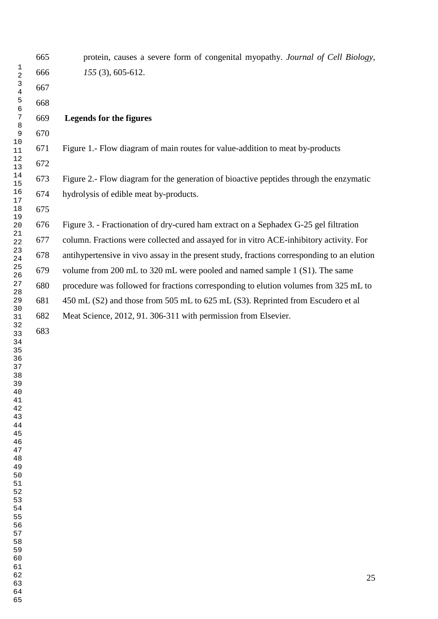|                               | 665 | protein, causes a severe form of congenital myopathy. Journal of Cell Biology,             |
|-------------------------------|-----|--------------------------------------------------------------------------------------------|
| 1<br>$\overline{2}$           | 666 | $155(3), 605-612.$                                                                         |
| $\mathsf 3$<br>$\overline{4}$ | 667 |                                                                                            |
| $\mathsf S$<br>6              | 668 |                                                                                            |
| 7                             | 669 | <b>Legends for the figures</b>                                                             |
| 8<br>$\mathsf 9$              | 670 |                                                                                            |
| 10<br>11                      | 671 | Figure 1.- Flow diagram of main routes for value-addition to meat by-products              |
| 12<br>13                      | 672 |                                                                                            |
| 14<br>15                      | 673 | Figure 2.- Flow diagram for the generation of bioactive peptides through the enzymatic     |
| 16<br>17                      | 674 | hydrolysis of edible meat by-products.                                                     |
| 18                            | 675 |                                                                                            |
| 19<br>20                      | 676 | Figure 3. - Fractionation of dry-cured ham extract on a Sephadex G-25 gel filtration       |
| 21<br>22                      | 677 | column. Fractions were collected and assayed for in vitro ACE-inhibitory activity. For     |
| 23<br>24                      | 678 | antihypertensive in vivo assay in the present study, fractions corresponding to an elution |
| 25<br>26                      | 679 | volume from 200 mL to 320 mL were pooled and named sample 1 (S1). The same                 |
| 27<br>28                      | 680 | procedure was followed for fractions corresponding to elution volumes from 325 mL to       |
| 29                            | 681 | 450 mL (S2) and those from 505 mL to 625 mL (S3). Reprinted from Escudero et al            |
| 30<br>31                      | 682 | Meat Science, 2012, 91. 306-311 with permission from Elsevier.                             |
| 32<br>33                      | 683 |                                                                                            |
| 34<br>35                      |     |                                                                                            |
| 36<br>37                      |     |                                                                                            |
| 38<br>39                      |     |                                                                                            |
| 40                            |     |                                                                                            |
| 41<br>42                      |     |                                                                                            |
| 43<br>44                      |     |                                                                                            |
| 45<br>46                      |     |                                                                                            |
| 47<br>48                      |     |                                                                                            |
| 49                            |     |                                                                                            |
| 50<br>51                      |     |                                                                                            |
| 52<br>53                      |     |                                                                                            |
| 54<br>55                      |     |                                                                                            |
| 56                            |     |                                                                                            |
| 57<br>58                      |     |                                                                                            |
| 59<br>60                      |     |                                                                                            |
| 61<br>62                      |     |                                                                                            |
| 63                            |     | 25                                                                                         |
| 64                            |     |                                                                                            |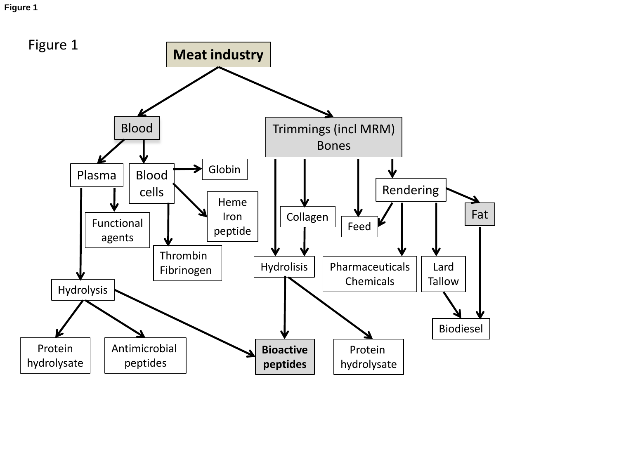**Figure 1**

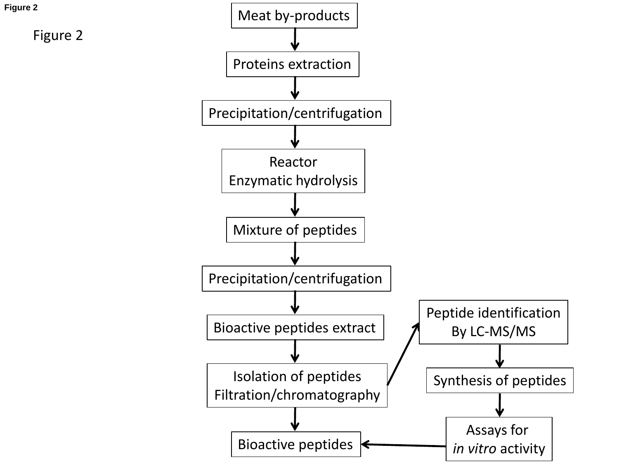